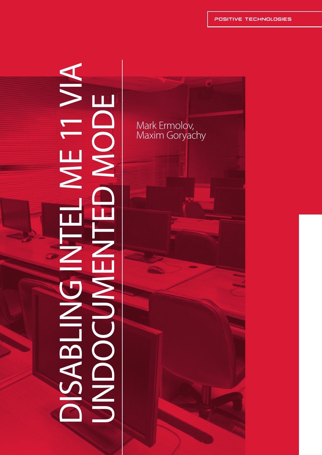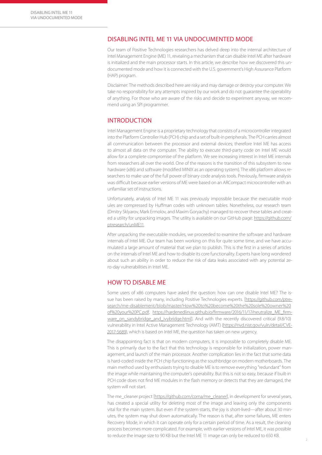### DISABLING INTEL ME 11 VIA UNDOCUMENTED MODE

Our team of Positive Technologies researchers has delved deep into the internal architecture of Intel Management Engine (ME) 11, revealing a mechanism that can disable Intel ME after hardware is initialized and the main processor starts. In this article, we describe how we discovered this undocumented mode and how it is connected with the U.S. government's High Assurance Platform (HAP) program.

Disclaimer: The methods described here are risky and may damage or destroy your computer. We take no responsibility for any attempts inspired by our work and do not guarantee the operability of anything. For those who are aware of the risks and decide to experiment anyway, we recommend using an SPI programmer.

### INTRODUCTION

Intel Management Engine is a proprietary technology that consists of a microcontroller integrated into the Platform Controller Hub (PCH) chip and a set of built-in peripherals. The PCH carries almost all communication between the processor and external devices; therefore Intel ME has access to almost all data on the computer. The ability to execute third-party code on Intel ME would allow for a complete compromise of the platform. We see increasing interest in Intel ME internals from researchers all over the world. One of the reasons is the transition of this subsystem to new hardware (x86) and software (modified MINIX as an operating system). The x86 platform allows researchers to make use of the full power of binary code analysis tools. Previously, firmware analysis was difficult because earlier versions of ME were based on an ARCompact microcontroller with an unfamiliar set of instructions.

Unfortunately, analysis of Intel ME 11 was previously impossible because the executable modules are compressed by Huffman codes with unknown tables. Nonetheless, our research team (Dmitry Sklyarov, Mark Ermolov, and Maxim Goryachy) managed to recover these tables and created a utility for unpacking images. The utility is available on our GitHub page: [https://github.com/](https://github.com/ptresearch/unME11) [ptresearch/unME11.](https://github.com/ptresearch/unME11)

After unpacking the executable modules, we proceeded to examine the software and hardware internals of Intel ME. Our team has been working on this for quite some time, and we have accumulated a large amount of material that we plan to publish. This is the first in a series of articles on the internals of Intel ME and how to disable its core functionality. Experts have long wondered about such an ability in order to reduce the risk of data leaks associated with any potential zero-day vulnerabilities in Intel ME.

# HOW TO DISABLE ME

Some users of x86 computers have asked the question: how can one disable Intel ME? The issue has been raised by many, including Positive Technologies experts. [\[https://github.com/ptre](https://github.com/ptresearch/me-disablement/blob/master/How%20to%20become%20the%20sole%20owner%20of%20your%20PC.pdf)[search/me-disablement/blob/master/How%20to%20become%20the%20sole%20owner%20](https://github.com/ptresearch/me-disablement/blob/master/How%20to%20become%20the%20sole%20owner%20of%20your%20PC.pdf) [of%20your%20PC.pdf](https://github.com/ptresearch/me-disablement/blob/master/How%20to%20become%20the%20sole%20owner%20of%20your%20PC.pdf), [https://hardenedlinux.github.io/firmware/2016/11/17/neutralize\\_ME\\_firm]( https://hardenedlinux.github.io/firmware/2016/11/17/neutralize_ME_firmware_on_sandybridge_and_ivybridge.html)[ware\\_on\\_sandybridge\\_and\\_ivybridge.html\]]( https://hardenedlinux.github.io/firmware/2016/11/17/neutralize_ME_firmware_on_sandybridge_and_ivybridge.html). And with the recently discovered critical (9.8/10) vulnerability in Intel Active Management Technology (AMT) ([https://nvd.nist.gov/vuln/detail/CVE-](https://nvd.nist.gov/vuln/detail/CVE-2017-5689)[2017-5689](https://nvd.nist.gov/vuln/detail/CVE-2017-5689)), which is based on Intel ME, the question has taken on new urgency.

The disappointing fact is that on modern computers, it is impossible to completely disable ME. This is primarily due to the fact that this technology is responsible for initialization, power management, and launch of the main processor. Another complication lies in the fact that some data is hard-coded inside the PCH chip functioning as the southbridge on modern motherboards. The main method used by enthusiasts trying to disable ME is to remove everything "redundant" from the image while maintaining the computer's operability. But this is not so easy, because if built-in PCH code does not find ME modules in the flash memory or detects that they are damaged, the system will not start.

The me\_cleaner project [\[https://github.com/corna/me\\_cleaner](https://github.com/corna/me_cleaner)], in development for several years, has created a special utility for deleting most of the image and leaving only the components vital for the main system. But even if the system starts, the joy is short-lived—after about 30 minutes, the system may shut down automatically. The reason is that, after some failures, ME enters Recovery Mode, in which it can operate only for a certain period of time. As a result, the cleaning process becomes more complicated. For example, with earlier versions of Intel ME, it was possible to reduce the image size to 90 KB but the Intel ME 11 image can only be reduced to 650 KB.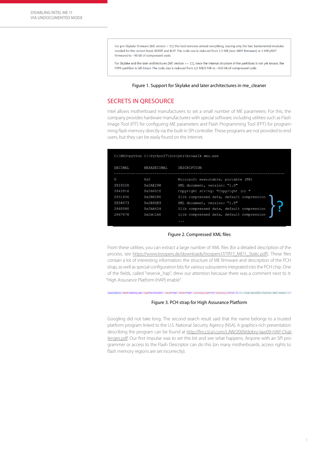For pre-Skylake firmware (ME version < 11) this tool removes almost everything, leaving only the two fundamental modules needed for the correct boot, ROMP and BUP. The code size is reduced from 1.5 MB (non-AMT firmware) or 5 MB (AMT firmware) to ~90 kB of compressed code.

For Skylake and the later architectures (ME version > = 11), since the internal structure of the partitions is not yet known, the FTPR partition is left intact. The code size is reduced from 1.5 MB/5 MB to ~650 kB of compressed code.

### Figure 1. Support for Skylake and later architectures in me\_cleaner

### SECRETS IN QRESOURCE

Intel allows motherboard manufacturers to set a small number of ME parameters. For this, the company provides hardware manufacturers with special software, including utilities such as Flash Image Tool (FIT) for configuring ME parameters and Flash Programming Tool (FPT) for programming flash memory directly via the built-in SPI controller. These programs are not provided to end users, but they can be easily found on the Internet.

|          |              | C:\MEU>python C:\Python27\Scripts\binwalk meu.exe |
|----------|--------------|---------------------------------------------------|
| DECIMAL  | HEXADECIMAL  | DESCRIPTION                                       |
| $\Omega$ | $0 \times 0$ | Microsoft executable, portable (PE)               |
| 2810520  | 0x2AE298     | XML document, version: "1.0"                      |
| 2842816  | 0x2B60C0     | Copyright string: "Copyright (c)                  |
| 2851456  | 0x2B8280     | Zlib compressed data, default compression         |
| 2858473  | 0x2B9DE9     | XML document, version: "1.0"                      |
| 2860580  | 0x2BA624     | Zlib compressed data, default compression         |
| 2867878  | 0x2BC2A6     | Zlib compressed data, default compression         |
|          |              | .                                                 |

#### Figure 2. Compressed XML files

From these utilities, you can extract a large number of XML files (for a detailed description of the process, see [https://www.troopers.de/downloads/troopers17/TR17\\_ME11\\_Static.pd](https://www.troopers.de/downloads/troopers17/TR17_ME11_Static.pd)f). These files contain a lot of interesting information: the structure of ME firmware and description of the PCH strap, as well as special configuration bits for various subsystems integrated into the PCH chip. One of the fields, called "reserve\_hap", drew our attention because there was a comment next to it: "High Assurance Platform (HAP) enable".

# <LayoutEntry name="reserve\_hap" type="bitfield32" - value="0x0" offset="0x0" - bitfield\_high="16" bitfield\_low="16" /> <!-- High Assurance Platform (HAP) enable ---> Figure 3. PCH strap for High Assurance Platform

Googling did not take long. The second search result said that the name belongs to a trusted platform program linked to the U.S. National Security Agency (NSA). A graphics-rich presentation describing the program can be found at [http://fm.csl.sri.com/LAW/2009/dobry-law09-HAP-Chal](http://fm.csl.sri.com/LAW/2009/dobry-law09-HAP-Challenges.pdf)[lenges.pdf.](http://fm.csl.sri.com/LAW/2009/dobry-law09-HAP-Challenges.pdf) Our first impulse was to set this bit and see what happens. Anyone with an SPI programmer or access to the Flash Descriptor can do this (on many motherboards, access rights to flash memory regions are set incorrectly).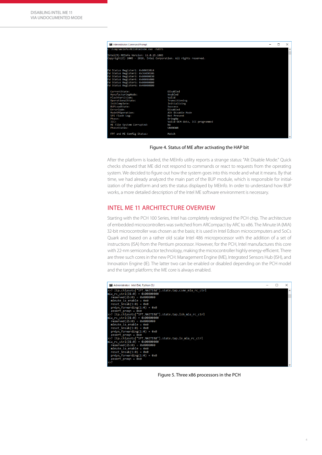

Figure 4. Status of ME after activating the HAP bit

After the platform is loaded, the MEInfo utility reports a strange status: "Alt Disable Mode." Quick checks showed that ME did not respond to commands or react to requests from the operating system. We decided to figure out how the system goes into this mode and what it means. By that time, we had already analyzed the main part of the BUP module, which is responsible for initialization of the platform and sets the status displayed by MEInfo. In order to understand how BUP works, a more detailed description of the Intel ME software environment is necessary.

# INTEL ME 11 ARCHITECTURE OVERVIEW

Starting with the PCH 100 Series, Intel has completely redesigned the PCH chip. The architecture of embedded microcontrollers was switched from ARCompact by ARC to x86. The Minute IA (MIA) 32-bit microcontroller was chosen as the basis; it is used in Intel Edison microcomputers and SoCs Quark and based on a rather old scalar Intel 486 microprocessor with the addition of a set of instructions (ISA) from the Pentium processor. However, for the PCH, Intel manufactures this core with 22-nm semiconductor technology, making the microcontroller highly energy-efficient. There are three such cores in the new PCH: Management Engine (ME), Integrated Sensors Hub (ISH), and Innovation Engine (IE). The latter two can be enabled or disabled depending on the PCH model and the target platform; the ME core is always enabled.



Figure 5. Three x86 processors in the PCH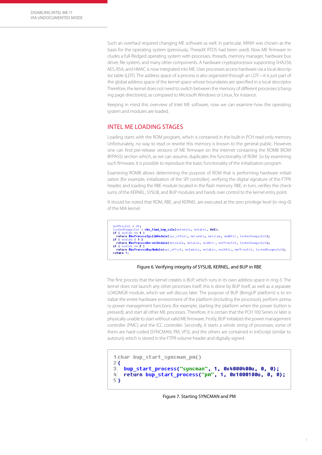Such an overhaul required changing ME software as well. In particular, MINIX was chosen as the basis for the operating system (previously, ThreadX RTOS had been used). Now ME firmware includes a full-fledged operating system with processes, threads, memory manager, hardware bus driver, file system, and many other components. A hardware cryptoprocessor supporting SHA256, AES, RSA, and HMAC is now integrated into ME. User processes access hardware via a local descriptor table (LDT). The address space of a process is also organized through an LDT—it is just part of the global address space of the kernel space whose boundaries are specified in a local descriptor. Therefore, the kernel does not need to switch between the memory of different processes (changing page directories), as compared to Microsoft Windows or Linux, for instance.

Keeping in mind this overview of Intel ME software, now we can examine how the operating system and modules are loaded.

# INTEL ME LOADING STAGES

Loading starts with the ROM program, which is contained in the built-in PCH read-only memory. Unfortunately, no way to read or rewrite this memory is known to the general public. However, one can find pre-release versions of ME firmware on the Internet containing the ROMB (ROM BYPASS) section which, as we can assume, duplicates the functionality of ROM. So by examining such firmware, it is possible to reproduce the basic functionality of the initialization program.

Examining ROMB allows determining the purpose of ROM that is performing hardware initialization (for example, initialization of the SPI controller), verifying the digital signature of the FTPR header, and loading the RBE module located in the flash memory. RBE, in turn, verifies the checksums of the KERNEL, SYSLIB, and BUP modules and hands over control to the kernel entry point.

It should be noted that ROM, RBE, and KERNEL are executed at the zero privilege level (in ring-0) of the MIA kernel.

mnfProcExt = u5;<br>lockedRangesExt = rbe\_find\_key\_vals(metadata, metaLen, 0x8);<br>if ( modIdx == 1 ) return RbeProcessSyslibModule(spi\_offset, metadata, metaLen, modAttr, lockedRangesExt); return RbeProcessSyslibModule(spi\_offset, metadata, metalen, modAttr, lockedRangesExt);<br>if ( modIdx < 1 )<br>return RbeProcessKernelModule(metadata, metalen, modAttr, mnfProcExt, lockedRangesExt);<br>if ( modIdx == 2 ) return RbeProcessBupModule(spi\_offset, metadata, metaLen, modAttr, mnfProcExt, lockedRangesExt); recurn<br>;return 1

#### Figure 6. Verifying integrity of SYSLIB, KERNEL, and BUP in RBE

The first process that the kernel creates is BUP, which runs in its own address space in ring-3. The kernel does not launch any other processes itself; this is done by BUP itself, as well as a separate LOADMGR module, which we will discuss later. The purpose of BUP (BringUP platform) is to initialize the entire hardware environment of the platform (including the processor), perform primary power management functions (for example, starting the platform when the power button is pressed), and start all other ME processes. Therefore, it is certain that the PCH 100 Series or later is physically unable to start without valid ME firmware. Firstly, BUP initializes the power management controller (PMC) and the ICC controller. Secondly, it starts a whole string of processes; some of them are hard-coded (SYNCMAN, PM, VFS), and the others are contained in InitScript (similar to autorun), which is stored in the FTPR volume header and digitally signed.

```
1char bup start syncman pm()
2<sub>1</sub>3
   bup_start_process("syncman", 1, 0x4000400u, 0, 0);
Щ
   return bup_start_process("pm", 1, 0x1000100u, 0, 0);
53
```
Figure 7. Starting SYNCMAN and PM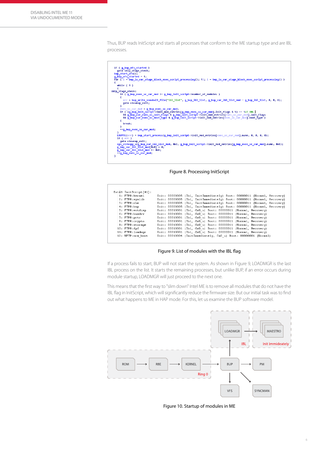Thus, BUP reads InitScript and starts all processes that conform to the ME startup type and are IBL processes.



Figure 8. Processing InitScript

| Ext#1 InitScript[41]: |                                                               |  |  |                                                                         |  |
|-----------------------|---------------------------------------------------------------|--|--|-------------------------------------------------------------------------|--|
| 1: FTPR:kernel        |                                                               |  |  | Init: 00000005 (Ibl, InitImmediately) Boot: 00000011 (Normal, Recovery) |  |
| 2: FTPR:syslib        |                                                               |  |  | Init: 00000005 (Ibl, InitImmediately) Boot: 00000011 (Normal, Recovery) |  |
| 3: FTPR:rbe           |                                                               |  |  | Init: 00000005 (Ibl, InitImmediately) Boot: 00000011 (Normal, Recovery) |  |
| 4: FTPR:bup           |                                                               |  |  | Init: 00000005 (Ibl, InitImmediately) Boot: 00000011 (Normal, Recovery) |  |
| 5: FTPR: evtdisp      | Init: 00010001 (Ibl, Cm0 u) Boot: 00000011 (Normal, Recovery) |  |  |                                                                         |  |
| 6: FTPR:busdrv        | Init: 00010001 (Ibl, Cm0 u) Boot: 00000011 (Normal, Recovery) |  |  |                                                                         |  |
| 7: FTPR: prtc         | Init: 00010001 (Ibl, Cm0 u) Boot: 00000011 (Normal, Recovery) |  |  |                                                                         |  |
| 8: FTPR:crypto        | Init: 00010001 (Ibl, Cm0 u) Boot: 00000011 (Normal, Recovery) |  |  |                                                                         |  |
| 9: FTPR:storage       | Init: 00010001 (Ibl, Cm0 u) Boot: 00000011 (Normal, Recovery) |  |  |                                                                         |  |
| 10: FTPR:fpf          | Init: 00010001 (Ibl, Cm0 u) Boot: 00000011 (Normal, Recovery) |  |  |                                                                         |  |
| 11: FTPR: loadmgr     | Init: 00010001 (Ibl, Cm0 u) Boot: 00000011 (Normal, Recovery) |  |  |                                                                         |  |
| 12: NFTP:mca boot     |                                                               |  |  | Init: 00010004 (InitImmediately, Cm0 u) Boot: 00000001 (Normal)         |  |

Figure 9. List of modules with the IBL flag

If a process fails to start, BUP will not start the system. As shown in Figure 9, LOADMGR is the last IBL process on the list. It starts the remaining processes, but unlike BUP, if an error occurs during module startup, LOADMGR will just proceed to the next one.

This means that the first way to "slim down" Intel ME is to remove all modules that do not have the IBL flag in InitScript, which will significantly reduce the firmware size. But our initial task was to find out what happens to ME in HAP mode. For this, let us examine the BUP software model.



Figure 10. Startup of modules in ME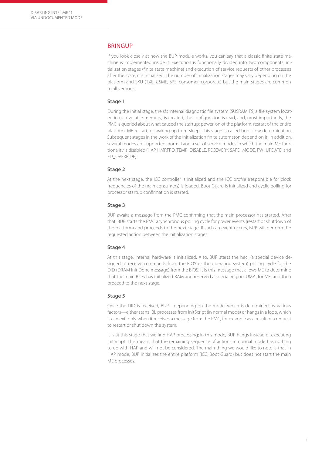### **BRINGUP**

If you look closely at how the BUP module works, you can say that a classic finite state machine is implemented inside it. Execution is functionally divided into two components: initialization stages (finite state machine) and execution of service requests of other processes after the system is initialized. The number of initialization stages may vary depending on the platform and SKU (TXE, CSME, SPS, consumer, corporate) but the main stages are common to all versions.

### **Stage 1**

During the initial stage, the sfs internal diagnostic file system (SUSRAM FS, a file system located in non-volatile memory) is created, the configuration is read, and, most importantly, the PMC is queried about what caused the startup: power-on of the platform, restart of the entire platform, ME restart, or waking up from sleep. This stage is called boot flow determination. Subsequent stages in the work of the initialization finite automaton depend on it. In addition, several modes are supported: normal and a set of service modes in which the main ME functionality is disabled (HAP, HMRFPO, TEMP\_DISABLE, RECOVERY, SAFE\_MODE, FW\_UPDATE, and FD\_OVERRIDE).

### **Stage 2**

At the next stage, the ICC controller is initialized and the ICC profile (responsible for clock frequencies of the main consumers) is loaded. Boot Guard is initialized and cyclic polling for processor startup confirmation is started.

#### **Stage 3**

BUP awaits a message from the PMC confirming that the main processor has started. After that, BUP starts the PMC asynchronous polling cycle for power events (restart or shutdown of the platform) and proceeds to the next stage. If such an event occurs, BUP will perform the requested action between the initialization stages.

#### **Stage 4**

At this stage, internal hardware is initialized. Also, BUP starts the heci (a special device designed to receive commands from the BIOS or the operating system) polling cycle for the DID (DRAM Init Done message) from the BIOS. It is this message that allows ME to determine that the main BIOS has initialized RAM and reserved a special region, UMA, for ME, and then proceed to the next stage.

### **Stage 5**

Once the DID is received, BUP—depending on the mode, which is determined by various factors—either starts IBL processes from InitScript (in normal mode) or hangs in a loop, which it can exit only when it receives a message from the PMC, for example as a result of a request to restart or shut down the system.

It is at this stage that we find HAP processing; in this mode, BUP hangs instead of executing InitScript. This means that the remaining sequence of actions in normal mode has nothing to do with HAP and will not be considered. The main thing we would like to note is that in HAP mode, BUP initializes the entire platform (ICC, Boot Guard) but does not start the main ME processes.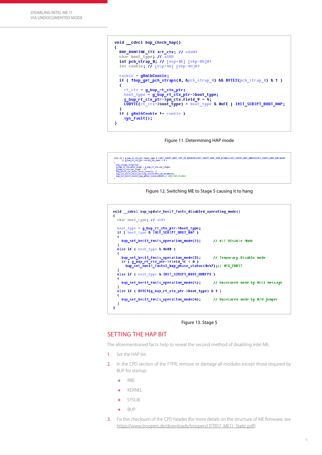```
void _cdecl bup_check_hap()
К
  BUP RUNTIME CTX *rt ctx; // edx@3
  char boot_type; // al@3<br>int pch_strap_0; // [esp+0h] [ebp-8h]@1<br>int cookie; // [esp+4h] [ebp-4h]@1
   \text{cookie} = \text{qRmlb} \text{Cookie};if ( thup_get_pch_straps(0, &pch_strap_0) && BYTE2(pch_strap_0) & 1 )
  X
     rt_ctx = g_bup_rt_ctx_ptr;
     boot_type = g_bup_rt_ctx_ptr->boot_type;<br>g_bup_rt_ctx_ptr->pm_ctx.field_9 = 4;
     LOBYTE(rt_ctx->boot_type) = boot_type & 0xFE | INIT_SCRIPT_BOOT_HAP;
  if ( gRmlbCookie != cookie )
     sys_fault();Ä
```
#### Figure 11. Determining HAP mode



### Figure 12. Switching ME to Stage 5 causing it to hang



#### Figure 13. Stage 5

### SETTING THE HAP BIT

The aforementioned facts help to reveal the second method of disabling Intel ME:

- 1. Set the HAP bit.
- 2. In the CPD section of the FTPR, remove or damage all modules except those required by BUP for startup:
	- + RBE
	- + KERNEL
	- + SYSLIB
	- + BUP
- 3. Fix the checksum of the CPD header (for more details on the structure of ME firmware, see [https://www.troopers.de/downloads/troopers17/TR17\\_ME11\\_Static.pdf](https://www.troopers.de/downloads/troopers17/TR17_ME11_Static.pdf)).

8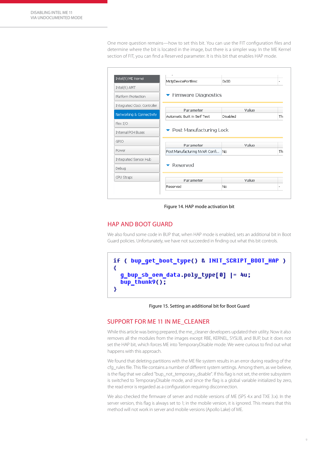One more question remains—how to set this bit. You can use the FIT configuration files and determine where the bit is located in the image, but there is a simpler way. In the ME Kernel section of FIT, you can find a Reserved parameter. It is this bit that enables HAP mode.

| Intel(R) ME Kernel                                     | MctpDevicePortBmc                             | 0x00     |    |
|--------------------------------------------------------|-----------------------------------------------|----------|----|
| Intel(R) AMT                                           |                                               |          |    |
| Platform Protection                                    | $\blacktriangleright$ Firmware Diagnostics    |          |    |
| Integrated Clock Controller                            |                                               |          |    |
|                                                        | Parameter                                     | Value    |    |
| Networking & Connectivity                              | Automatic Built in Self Test                  | Disabled | Th |
|                                                        |                                               |          |    |
|                                                        |                                               |          |    |
| Flex I/O<br><b>Internal PCH Buses</b>                  | $\blacktriangleright$ Post Manufacturing Lock |          |    |
|                                                        |                                               |          |    |
|                                                        | Parameter                                     | Value    |    |
|                                                        | Post Manufacturing NVAR Confi                 | No.      | Th |
|                                                        |                                               |          |    |
| <b>GPTO</b><br>Power<br>Integrated Sensor Hub<br>Debug | Reserved                                      |          |    |
| CPU Straps                                             | Parameter                                     | Value    |    |

Figure 14. HAP mode activation bit

## HAP AND BOOT GUARD

We also found some code in BUP that, when HAP mode is enabled, sets an additional bit in Boot Guard policies. Unfortunately, we have not succeeded in finding out what this bit controls.



Figure 15. Setting an additional bit for Boot Guard

### SUPPORT FOR ME 11 IN ME\_CLEANER

While this article was being prepared, the me\_cleaner developers updated their utility. Now it also removes all the modules from the images except RBE, KERNEL, SYSLIB, and BUP, but it does not set the HAP bit, which forces ME into TemporaryDisable mode. We were curious to find out what happens with this approach.

We found that deleting partitions with the ME file system results in an error during reading of the cfg\_rules file. This file contains a number of different system settings. Among them, as we believe, is the flag that we called "bup\_not\_temporary\_disable". If this flag is not set, the entire subsystem is switched to TemporaryDisable mode, and since the flag is a global variable initialized by zero, the read error is regarded as a configuration requiring disconnection.

We also checked the firmware of server and mobile versions of ME (SPS 4.x and TXE 3.x). In the server version, this flag is always set to 1; in the mobile version, it is ignored. This means that this method will not work in server and mobile versions (Apollo Lake) of ME.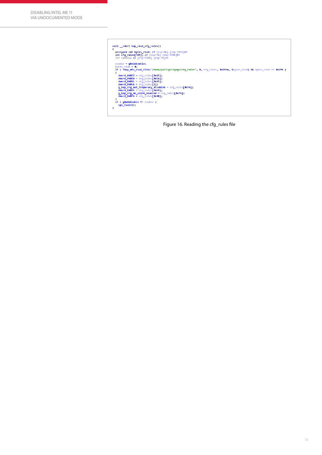

Figure 16. Reading the cfg\_rules file